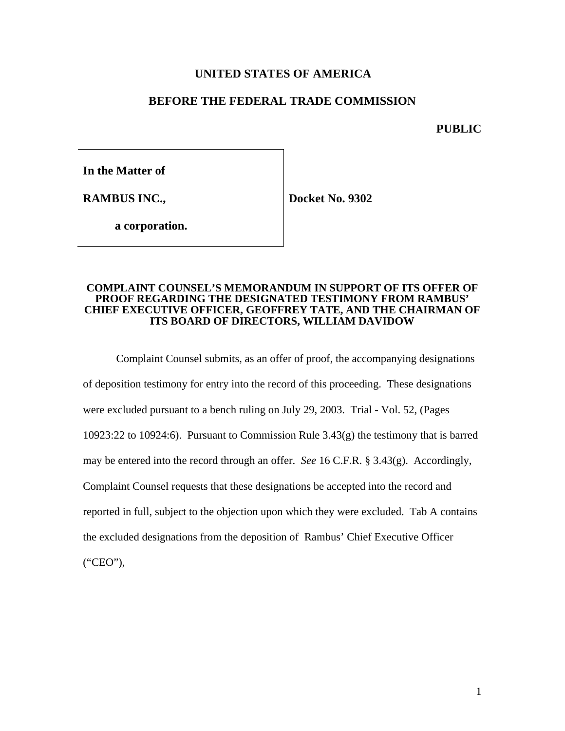## **UNITED STATES OF AMERICA**

## **BEFORE THE FEDERAL TRADE COMMISSION**

**PUBLIC**

**In the Matter of**

**RAMBUS INC.,**

**Docket No. 9302**

**a corporation.**

#### **COMPLAINT COUNSEL'S MEMORANDUM IN SUPPORT OF ITS OFFER OF PROOF REGARDING THE DESIGNATED TESTIMONY FROM RAMBUS' CHIEF EXECUTIVE OFFICER, GEOFFREY TATE, AND THE CHAIRMAN OF ITS BOARD OF DIRECTORS, WILLIAM DAVIDOW**

Complaint Counsel submits, as an offer of proof, the accompanying designations of deposition testimony for entry into the record of this proceeding. These designations were excluded pursuant to a bench ruling on July 29, 2003. Trial - Vol. 52, (Pages 10923:22 to 10924:6). Pursuant to Commission Rule 3.43(g) the testimony that is barred may be entered into the record through an offer. *See* 16 C.F.R. § 3.43(g). Accordingly, Complaint Counsel requests that these designations be accepted into the record and reported in full, subject to the objection upon which they were excluded. Tab A contains the excluded designations from the deposition of Rambus' Chief Executive Officer ("CEO"),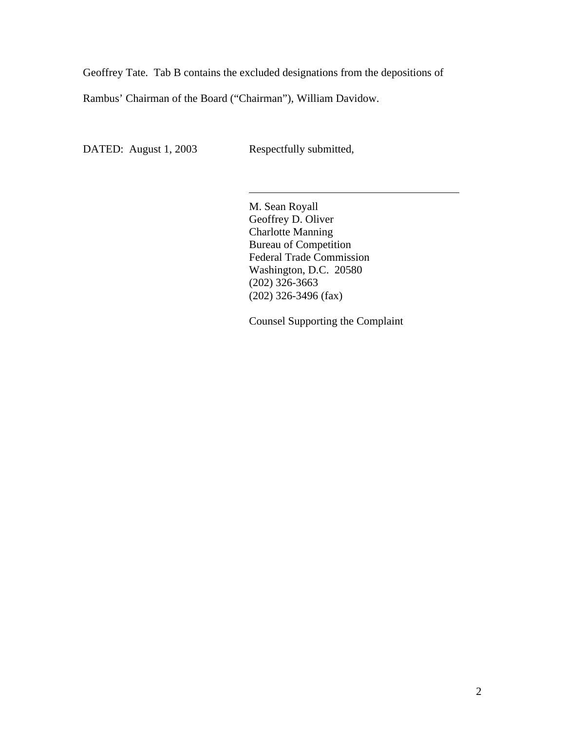Geoffrey Tate. Tab B contains the excluded designations from the depositions of

 $\overline{a}$ 

Rambus' Chairman of the Board ("Chairman"), William Davidow.

DATED: August 1, 2003 Respectfully submitted,

M. Sean Royall Geoffrey D. Oliver Charlotte Manning Bureau of Competition Federal Trade Commission Washington, D.C. 20580 (202) 326-3663 (202) 326-3496 (fax)

Counsel Supporting the Complaint